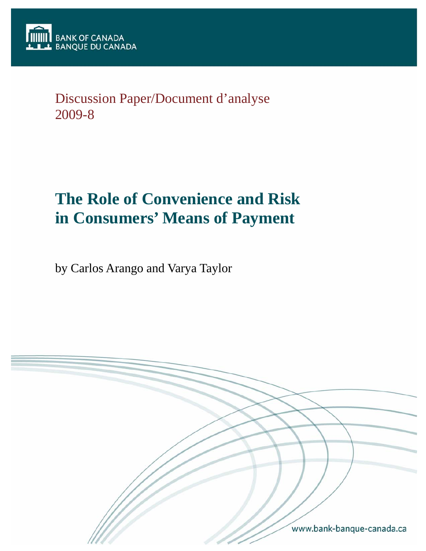Discussion Paper/Document d'analyse 2009-8

# **The Role of Convenience and Risk in Consumers' Means of Payment**

by Carlos Arango and Varya Taylor

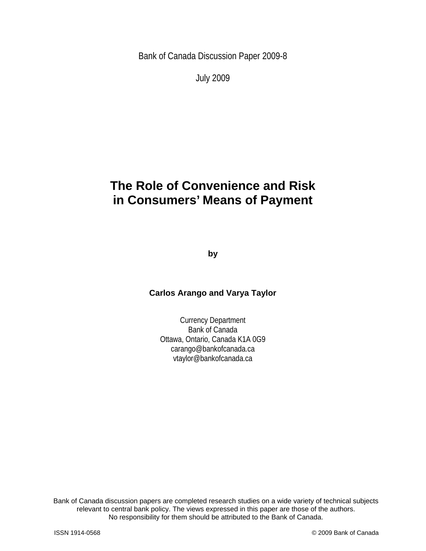Bank of Canada Discussion Paper 2009-8

July 2009

# **The Role of Convenience and Risk in Consumers' Means of Payment**

**by** 

## **Carlos Arango and Varya Taylor**

Currency Department Bank of Canada Ottawa, Ontario, Canada K1A 0G9 carango@bankofcanada.ca vtaylor@bankofcanada.ca

2 No responsibility for them should be attributed to the Bank of Canada. Bank of Canada discussion papers are completed research studies on a wide variety of technical subjects relevant to central bank policy. The views expressed in this paper are those of the authors.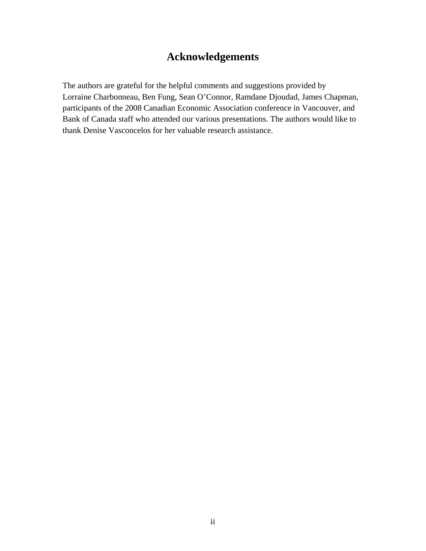# **Acknowledgements**

The authors are grateful for the helpful comments and suggestions provided by Lorraine Charbonneau, Ben Fung, Sean O'Connor, Ramdane Djoudad, James Chapman, participants of the 2008 Canadian Economic Association conference in Vancouver, and Bank of Canada staff who attended our various presentations. The authors would like to thank Denise Vasconcelos for her valuable research assistance.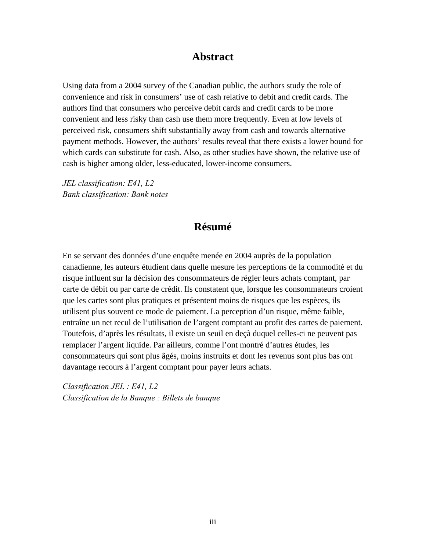## **Abstract**

Using data from a 2004 survey of the Canadian public, the authors study the role of convenience and risk in consumers' use of cash relative to debit and credit cards. The authors find that consumers who perceive debit cards and credit cards to be more convenient and less risky than cash use them more frequently. Even at low levels of perceived risk, consumers shift substantially away from cash and towards alternative payment methods. However, the authors' results reveal that there exists a lower bound for which cards can substitute for cash. Also, as other studies have shown, the relative use of cash is higher among older, less-educated, lower-income consumers.

*JEL classification: E41, L2 Bank classification: Bank notes* 

# **Résumé**

En se servant des données d'une enquête menée en 2004 auprès de la population canadienne, les auteurs étudient dans quelle mesure les perceptions de la commodité et du risque influent sur la décision des consommateurs de régler leurs achats comptant, par carte de débit ou par carte de crédit. Ils constatent que, lorsque les consommateurs croient que les cartes sont plus pratiques et présentent moins de risques que les espèces, ils utilisent plus souvent ce mode de paiement. La perception d'un risque, même faible, entraîne un net recul de l'utilisation de l'argent comptant au profit des cartes de paiement. Toutefois, d'après les résultats, il existe un seuil en deçà duquel celles-ci ne peuvent pas remplacer l'argent liquide. Par ailleurs, comme l'ont montré d'autres études, les consommateurs qui sont plus âgés, moins instruits et dont les revenus sont plus bas ont davantage recours à l'argent comptant pour payer leurs achats.

*Classification JEL : E41, L2 Classification de la Banque : Billets de banque*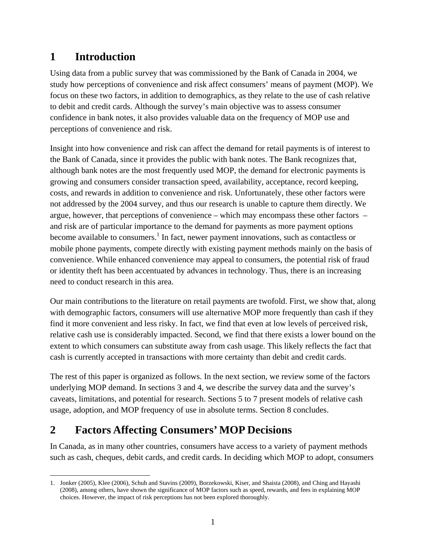# **1 Introduction**

Using data from a public survey that was commissioned by the Bank of Canada in 2004, we study how perceptions of convenience and risk affect consumers' means of payment (MOP). We focus on these two factors, in addition to demographics, as they relate to the use of cash relative to debit and credit cards. Although the survey's main objective was to assess consumer confidence in bank notes, it also provides valuable data on the frequency of MOP use and perceptions of convenience and risk.

Insight into how convenience and risk can affect the demand for retail payments is of interest to the Bank of Canada, since it provides the public with bank notes. The Bank recognizes that, although bank notes are the most frequently used MOP, the demand for electronic payments is growing and consumers consider transaction speed, availability, acceptance, record keeping, costs, and rewards in addition to convenience and risk. Unfortunately, these other factors were not addressed by the 2004 survey, and thus our research is unable to capture them directly. We argue, however, that perceptions of convenience – which may encompass these other factors – and risk are of particular importance to the demand for payments as more payment options become available to consumers.<sup>1</sup> In fact, newer payment innovations, such as contactless or mobile phone payments, compete directly with existing payment methods mainly on the basis of convenience. While enhanced convenience may appeal to consumers, the potential risk of fraud or identity theft has been accentuated by advances in technology. Thus, there is an increasing need to conduct research in this area.

Our main contributions to the literature on retail payments are twofold. First, we show that, along with demographic factors, consumers will use alternative MOP more frequently than cash if they find it more convenient and less risky. In fact, we find that even at low levels of perceived risk, relative cash use is considerably impacted. Second, we find that there exists a lower bound on the extent to which consumers can substitute away from cash usage. This likely reflects the fact that cash is currently accepted in transactions with more certainty than debit and credit cards.

The rest of this paper is organized as follows. In the next section, we review some of the factors underlying MOP demand. In sections 3 and 4, we describe the survey data and the survey's caveats, limitations, and potential for research. Sections 5 to 7 present models of relative cash usage, adoption, and MOP frequency of use in absolute terms. Section 8 concludes.

# **2 Factors Affecting Consumers' MOP Decisions**

In Canada, as in many other countries, consumers have access to a variety of payment methods such as cash, cheques, debit cards, and credit cards. In deciding which MOP to adopt, consumers

 $\overline{a}$ 1. Jonker (2005), Klee (2006), Schuh and Stavins (2009), Borzekowski, Kiser, and Shaista (2008), and Ching and Hayashi (2008), among others, have shown the significance of MOP factors such as speed, rewards, and fees in explaining MOP choices. However, the impact of risk perceptions has not been explored thoroughly.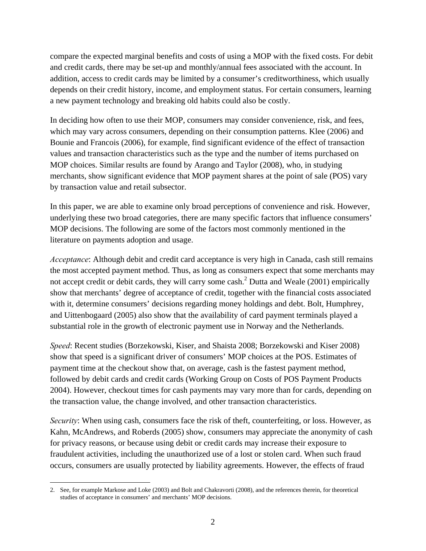compare the expected marginal benefits and costs of using a MOP with the fixed costs. For debit and credit cards, there may be set-up and monthly/annual fees associated with the account. In addition, access to credit cards may be limited by a consumer's creditworthiness, which usually depends on their credit history, income, and employment status. For certain consumers, learning a new payment technology and breaking old habits could also be costly.

In deciding how often to use their MOP, consumers may consider convenience, risk, and fees, which may vary across consumers, depending on their consumption patterns. Klee (2006) and Bounie and Francois (2006), for example, find significant evidence of the effect of transaction values and transaction characteristics such as the type and the number of items purchased on MOP choices. Similar results are found by Arango and Taylor (2008), who, in studying merchants, show significant evidence that MOP payment shares at the point of sale (POS) vary by transaction value and retail subsector.

In this paper, we are able to examine only broad perceptions of convenience and risk. However, underlying these two broad categories, there are many specific factors that influence consumers' MOP decisions. The following are some of the factors most commonly mentioned in the literature on payments adoption and usage.

*Acceptance*: Although debit and credit card acceptance is very high in Canada, cash still remains the most accepted payment method. Thus, as long as consumers expect that some merchants may not accept credit or debit cards, they will carry some cash. $^2$  Dutta and Weale (2001) empirically show that merchants' degree of acceptance of credit, together with the financial costs associated with it, determine consumers' decisions regarding money holdings and debt. Bolt, Humphrey, and Uittenbogaard (2005) also show that the availability of card payment terminals played a substantial role in the growth of electronic payment use in Norway and the Netherlands.

*Speed*: Recent studies (Borzekowski, Kiser, and Shaista 2008; Borzekowski and Kiser 2008) show that speed is a significant driver of consumers' MOP choices at the POS. Estimates of payment time at the checkout show that, on average, cash is the fastest payment method, followed by debit cards and credit cards (Working Group on Costs of POS Payment Products 2004). However, checkout times for cash payments may vary more than for cards, depending on the transaction value, the change involved, and other transaction characteristics.

*Security*: When using cash, consumers face the risk of theft, counterfeiting, or loss. However, as Kahn, McAndrews, and Roberds (2005) show, consumers may appreciate the anonymity of cash for privacy reasons, or because using debit or credit cards may increase their exposure to fraudulent activities, including the unauthorized use of a lost or stolen card. When such fraud occurs, consumers are usually protected by liability agreements. However, the effects of fraud

 $\overline{a}$ 2. See, for example Markose and Loke (2003) and Bolt and Chakravorti (2008), and the references therein, for theoretical studies of acceptance in consumers' and merchants' MOP decisions.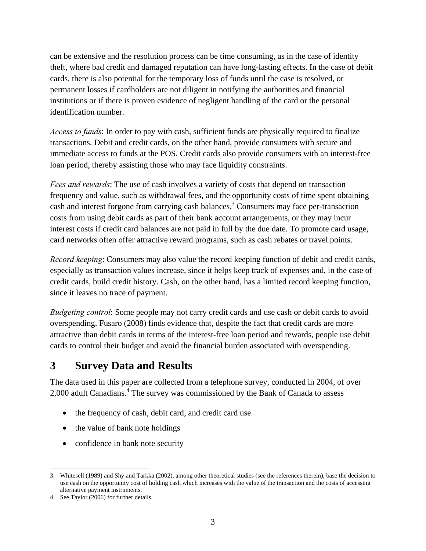can be extensive and the resolution process can be time consuming, as in the case of identity theft, where bad credit and damaged reputation can have long-lasting effects. In the case of debit cards, there is also potential for the temporary loss of funds until the case is resolved, or permanent losses if cardholders are not diligent in notifying the authorities and financial institutions or if there is proven evidence of negligent handling of the card or the personal identification number.

*Access to funds*: In order to pay with cash, sufficient funds are physically required to finalize transactions. Debit and credit cards, on the other hand, provide consumers with secure and immediate access to funds at the POS. Credit cards also provide consumers with an interest-free loan period, thereby assisting those who may face liquidity constraints.

*Fees and rewards*: The use of cash involves a variety of costs that depend on transaction frequency and value, such as withdrawal fees, and the opportunity costs of time spent obtaining cash and interest forgone from carrying cash balances.<sup>3</sup> Consumers may face per-transaction costs from using debit cards as part of their bank account arrangements, or they may incur interest costs if credit card balances are not paid in full by the due date. To promote card usage, card networks often offer attractive reward programs, such as cash rebates or travel points.

*Record keeping*: Consumers may also value the record keeping function of debit and credit cards, especially as transaction values increase, since it helps keep track of expenses and, in the case of credit cards, build credit history. Cash, on the other hand, has a limited record keeping function, since it leaves no trace of payment.

*Budgeting control*: Some people may not carry credit cards and use cash or debit cards to avoid overspending. Fusaro (2008) finds evidence that, despite the fact that credit cards are more attractive than debit cards in terms of the interest-free loan period and rewards, people use debit cards to control their budget and avoid the financial burden associated with overspending.

# **3 Survey Data and Results**

The data used in this paper are collected from a telephone survey, conducted in 2004, of over 2,000 adult Canadians.<sup>4</sup> The survey was commissioned by the Bank of Canada to assess

- the frequency of cash, debit card, and credit card use
- the value of bank note holdings
- confidence in bank note security

 $\overline{a}$ 3. Whitesell (1989) and Shy and Tarkka (2002), among other theoretical studies (see the references therein), base the decision to use cash on the opportunity cost of holding cash which increases with the value of the transaction and the costs of accessing alternative payment instruments.

<sup>4.</sup> See Taylor (2006) for further details.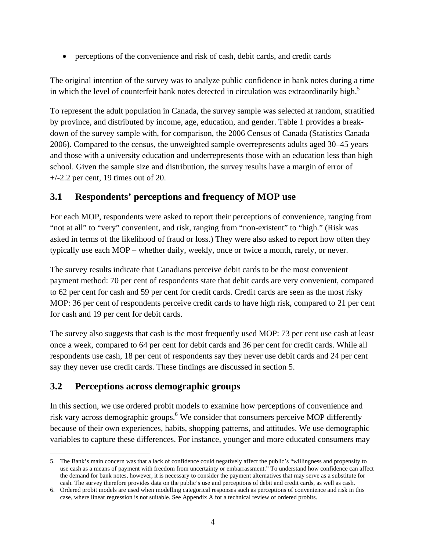• perceptions of the convenience and risk of cash, debit cards, and credit cards

The original intention of the survey was to analyze public confidence in bank notes during a time in which the level of counterfeit bank notes detected in circulation was extraordinarily high.<sup>5</sup>

To represent the adult population in Canada, the survey sample was selected at random, stratified by province, and distributed by income, age, education, and gender. Table 1 provides a breakdown of the survey sample with, for comparison, the 2006 Census of Canada (Statistics Canada 2006). Compared to the census, the unweighted sample overrepresents adults aged 30–45 years and those with a university education and underrepresents those with an education less than high school. Given the sample size and distribution, the survey results have a margin of error of  $+/-2.2$  per cent, 19 times out of 20.

## **3.1 Respondents' perceptions and frequency of MOP use**

For each MOP, respondents were asked to report their perceptions of convenience, ranging from "not at all" to "very" convenient, and risk, ranging from "non-existent" to "high." (Risk was asked in terms of the likelihood of fraud or loss.) They were also asked to report how often they typically use each MOP – whether daily, weekly, once or twice a month, rarely, or never.

The survey results indicate that Canadians perceive debit cards to be the most convenient payment method: 70 per cent of respondents state that debit cards are very convenient, compared to 62 per cent for cash and 59 per cent for credit cards. Credit cards are seen as the most risky MOP: 36 per cent of respondents perceive credit cards to have high risk, compared to 21 per cent for cash and 19 per cent for debit cards.

The survey also suggests that cash is the most frequently used MOP: 73 per cent use cash at least once a week, compared to 64 per cent for debit cards and 36 per cent for credit cards. While all respondents use cash, 18 per cent of respondents say they never use debit cards and 24 per cent say they never use credit cards. These findings are discussed in section 5.

# **3.2 Perceptions across demographic groups**

 $\overline{a}$ 

In this section, we use ordered probit models to examine how perceptions of convenience and risk vary across demographic groups.<sup>6</sup> We consider that consumers perceive MOP differently because of their own experiences, habits, shopping patterns, and attitudes. We use demographic variables to capture these differences. For instance, younger and more educated consumers may

<sup>5.</sup> The Bank's main concern was that a lack of confidence could negatively affect the public's "willingness and propensity to use cash as a means of payment with freedom from uncertainty or embarrassment." To understand how confidence can affect the demand for bank notes, however, it is necessary to consider the payment alternatives that may serve as a substitute for cash. The survey therefore provides data on the public's use and perceptions of debit and credit cards, as well as cash.

<sup>6.</sup> Ordered probit models are used when modelling categorical responses such as perceptions of convenience and risk in this case, where linear regression is not suitable. See Appendix A for a technical review of ordered probits.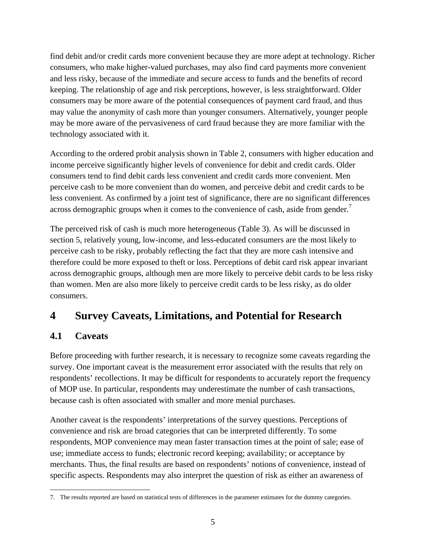find debit and/or credit cards more convenient because they are more adept at technology. Richer consumers, who make higher-valued purchases, may also find card payments more convenient and less risky, because of the immediate and secure access to funds and the benefits of record keeping. The relationship of age and risk perceptions, however, is less straightforward. Older consumers may be more aware of the potential consequences of payment card fraud, and thus may value the anonymity of cash more than younger consumers. Alternatively, younger people may be more aware of the pervasiveness of card fraud because they are more familiar with the technology associated with it.

According to the ordered probit analysis shown in Table 2, consumers with higher education and income perceive significantly higher levels of convenience for debit and credit cards. Older consumers tend to find debit cards less convenient and credit cards more convenient. Men perceive cash to be more convenient than do women, and perceive debit and credit cards to be less convenient. As confirmed by a joint test of significance, there are no significant differences across demographic groups when it comes to the convenience of cash, aside from gender.<sup>7</sup>

The perceived risk of cash is much more heterogeneous (Table 3). As will be discussed in section 5, relatively young, low-income, and less-educated consumers are the most likely to perceive cash to be risky, probably reflecting the fact that they are more cash intensive and therefore could be more exposed to theft or loss. Perceptions of debit card risk appear invariant across demographic groups, although men are more likely to perceive debit cards to be less risky than women. Men are also more likely to perceive credit cards to be less risky, as do older consumers.

# **4 Survey Caveats, Limitations, and Potential for Research**

## **4.1 Caveats**

Before proceeding with further research, it is necessary to recognize some caveats regarding the survey. One important caveat is the measurement error associated with the results that rely on respondents' recollections. It may be difficult for respondents to accurately report the frequency of MOP use. In particular, respondents may underestimate the number of cash transactions, because cash is often associated with smaller and more menial purchases.

Another caveat is the respondents' interpretations of the survey questions. Perceptions of convenience and risk are broad categories that can be interpreted differently. To some respondents, MOP convenience may mean faster transaction times at the point of sale; ease of use; immediate access to funds; electronic record keeping; availability; or acceptance by merchants. Thus, the final results are based on respondents' notions of convenience, instead of specific aspects. Respondents may also interpret the question of risk as either an awareness of

 $\overline{a}$ 7. The results reported are based on statistical tests of differences in the parameter estimates for the dummy categories.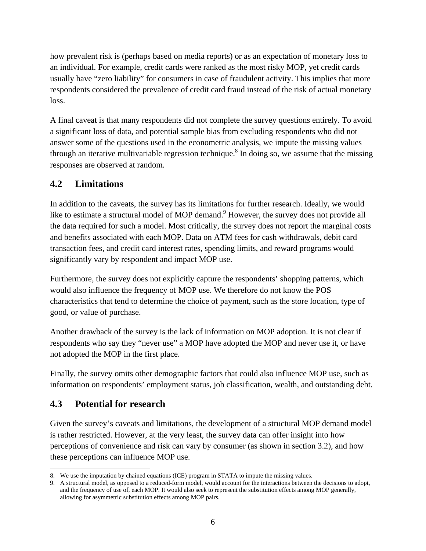how prevalent risk is (perhaps based on media reports) or as an expectation of monetary loss to an individual. For example, credit cards were ranked as the most risky MOP, yet credit cards usually have "zero liability" for consumers in case of fraudulent activity. This implies that more respondents considered the prevalence of credit card fraud instead of the risk of actual monetary loss.

A final caveat is that many respondents did not complete the survey questions entirely. To avoid a significant loss of data, and potential sample bias from excluding respondents who did not answer some of the questions used in the econometric analysis, we impute the missing values through an iterative multivariable regression technique.<sup>8</sup> In doing so, we assume that the missing responses are observed at random.

## **4.2 Limitations**

In addition to the caveats, the survey has its limitations for further research. Ideally, we would like to estimate a structural model of MOP demand.<sup>9</sup> However, the survey does not provide all the data required for such a model. Most critically, the survey does not report the marginal costs and benefits associated with each MOP. Data on ATM fees for cash withdrawals, debit card transaction fees, and credit card interest rates, spending limits, and reward programs would significantly vary by respondent and impact MOP use.

Furthermore, the survey does not explicitly capture the respondents' shopping patterns, which would also influence the frequency of MOP use. We therefore do not know the POS characteristics that tend to determine the choice of payment, such as the store location, type of good, or value of purchase.

Another drawback of the survey is the lack of information on MOP adoption. It is not clear if respondents who say they "never use" a MOP have adopted the MOP and never use it, or have not adopted the MOP in the first place.

Finally, the survey omits other demographic factors that could also influence MOP use, such as information on respondents' employment status, job classification, wealth, and outstanding debt.

## **4.3 Potential for research**

 $\overline{a}$ 

Given the survey's caveats and limitations, the development of a structural MOP demand model is rather restricted. However, at the very least, the survey data can offer insight into how perceptions of convenience and risk can vary by consumer (as shown in section 3.2), and how these perceptions can influence MOP use.

<sup>8.</sup> We use the imputation by chained equations (ICE) program in STATA to impute the missing values.

<sup>9.</sup> A structural model, as opposed to a reduced-form model, would account for the interactions between the decisions to adopt, and the frequency of use of, each MOP. It would also seek to represent the substitution effects among MOP generally, allowing for asymmetric substitution effects among MOP pairs.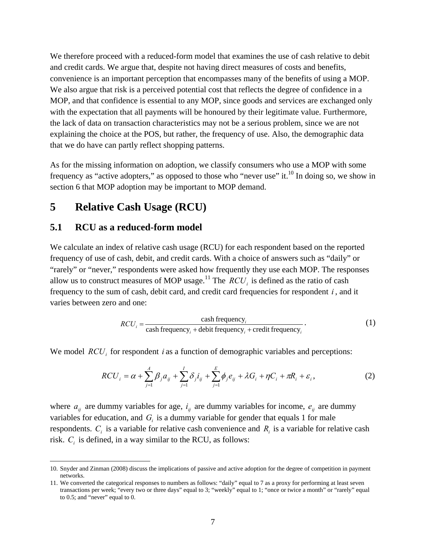We therefore proceed with a reduced-form model that examines the use of cash relative to debit and credit cards. We argue that, despite not having direct measures of costs and benefits, convenience is an important perception that encompasses many of the benefits of using a MOP. We also argue that risk is a perceived potential cost that reflects the degree of confidence in a MOP, and that confidence is essential to any MOP, since goods and services are exchanged only with the expectation that all payments will be honoured by their legitimate value. Furthermore, the lack of data on transaction characteristics may not be a serious problem, since we are not explaining the choice at the POS, but rather, the frequency of use. Also, the demographic data that we do have can partly reflect shopping patterns.

As for the missing information on adoption, we classify consumers who use a MOP with some frequency as "active adopters," as opposed to those who "never use" it.<sup>10</sup> In doing so, we show in section 6 that MOP adoption may be important to MOP demand.

# **5 Relative Cash Usage (RCU)**

#### **5.1 RCU as a reduced-form model**

 $\overline{a}$ 

We calculate an index of relative cash usage (RCU) for each respondent based on the reported frequency of use of cash, debit, and credit cards. With a choice of answers such as "daily" or "rarely" or "never," respondents were asked how frequently they use each MOP. The responses allow us to construct measures of MOP usage.<sup>11</sup> The  $RCU_i$  is defined as the ratio of cash frequency to the sum of cash, debit card, and credit card frequencies for respondent *i* , and it varies between zero and one:

$$
RCU_i = \frac{\cosh frequency_i}{\cosh frequency_i + \text{debit frequency}_i + \text{credit frequency}_i}.
$$
 (1)

We model  $RCU_i$  for respondent *i* as a function of demographic variables and perceptions:

$$
RCU_{i} = \alpha + \sum_{j=1}^{A} \beta_{j} a_{ij} + \sum_{j=1}^{I} \delta_{j} i_{ij} + \sum_{j=1}^{E} \phi_{j} e_{ij} + \lambda G_{i} + \eta C_{i} + \pi R_{i} + \varepsilon_{i},
$$
 (2)

where  $a_{ij}$  are dummy variables for age,  $i_{ij}$  are dummy variables for income,  $e_{ij}$  are dummy variables for education, and  $G<sub>i</sub>$  is a dummy variable for gender that equals 1 for male respondents.  $C_i$  is a variable for relative cash convenience and  $R_i$  is a variable for relative cash risk.  $C_i$  is defined, in a way similar to the RCU, as follows:

<sup>10.</sup> Snyder and Zinman (2008) discuss the implications of passive and active adoption for the degree of competition in payment networks.

<sup>11.</sup> We converted the categorical responses to numbers as follows: "daily" equal to 7 as a proxy for performing at least seven transactions per week; "every two or three days" equal to 3; "weekly" equal to 1; "once or twice a month" or "rarely" equal to 0.5; and "never" equal to 0.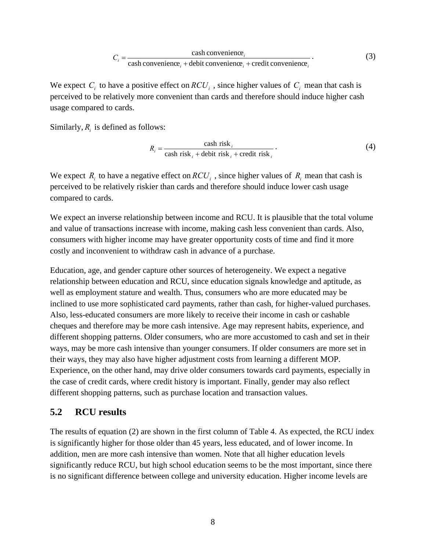$$
C_i = \frac{\text{cash convenience}_i}{\text{cash convenience}_i + \text{debit convenience}_i + \text{credit convenience}_i}.
$$
 (3)

We expect  $C_i$  to have a positive effect on  $RCU_i$ , since higher values of  $C_i$  mean that cash is perceived to be relatively more convenient than cards and therefore should induce higher cash usage compared to cards.

Similarly,  $R_i$  is defined as follows:

$$
R_i = \frac{\cosh \text{risk}_i}{\cosh \text{risk}_i + \text{debit risk}_i + \text{credit risk}_i} \,. \tag{4}
$$

We expect  $R_i$  to have a negative effect on  $RCU_i$ , since higher values of  $R_i$  mean that cash is perceived to be relatively riskier than cards and therefore should induce lower cash usage compared to cards.

We expect an inverse relationship between income and RCU. It is plausible that the total volume and value of transactions increase with income, making cash less convenient than cards. Also, consumers with higher income may have greater opportunity costs of time and find it more costly and inconvenient to withdraw cash in advance of a purchase.

Education, age, and gender capture other sources of heterogeneity. We expect a negative relationship between education and RCU, since education signals knowledge and aptitude, as well as employment stature and wealth. Thus, consumers who are more educated may be inclined to use more sophisticated card payments, rather than cash, for higher-valued purchases. Also, less-educated consumers are more likely to receive their income in cash or cashable cheques and therefore may be more cash intensive. Age may represent habits, experience, and different shopping patterns. Older consumers, who are more accustomed to cash and set in their ways, may be more cash intensive than younger consumers. If older consumers are more set in their ways, they may also have higher adjustment costs from learning a different MOP. Experience, on the other hand, may drive older consumers towards card payments, especially in the case of credit cards, where credit history is important. Finally, gender may also reflect different shopping patterns, such as purchase location and transaction values.

#### **5.2 RCU results**

The results of equation (2) are shown in the first column of Table 4. As expected, the RCU index is significantly higher for those older than 45 years, less educated, and of lower income. In addition, men are more cash intensive than women. Note that all higher education levels significantly reduce RCU, but high school education seems to be the most important, since there is no significant difference between college and university education. Higher income levels are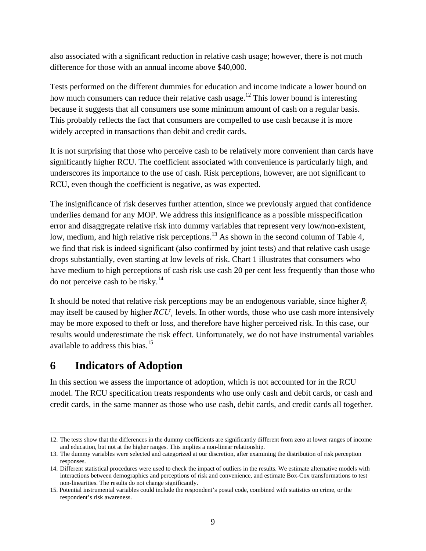also associated with a significant reduction in relative cash usage; however, there is not much difference for those with an annual income above \$40,000.

Tests performed on the different dummies for education and income indicate a lower bound on how much consumers can reduce their relative cash usage.<sup>12</sup> This lower bound is interesting because it suggests that all consumers use some minimum amount of cash on a regular basis. This probably reflects the fact that consumers are compelled to use cash because it is more widely accepted in transactions than debit and credit cards.

It is not surprising that those who perceive cash to be relatively more convenient than cards have significantly higher RCU. The coefficient associated with convenience is particularly high, and underscores its importance to the use of cash. Risk perceptions, however, are not significant to RCU, even though the coefficient is negative, as was expected.

The insignificance of risk deserves further attention, since we previously argued that confidence underlies demand for any MOP. We address this insignificance as a possible misspecification error and disaggregate relative risk into dummy variables that represent very low/non-existent, low, medium, and high relative risk perceptions.<sup>13</sup> As shown in the second column of Table 4, we find that risk is indeed significant (also confirmed by joint tests) and that relative cash usage drops substantially, even starting at low levels of risk. Chart 1 illustrates that consumers who have medium to high perceptions of cash risk use cash 20 per cent less frequently than those who do not perceive cash to be risky.<sup>14</sup>

It should be noted that relative risk perceptions may be an endogenous variable, since higher *Ri* may itself be caused by higher *RCU<sub>i</sub>* levels. In other words, those who use cash more intensively may be more exposed to theft or loss, and therefore have higher perceived risk. In this case, our results would underestimate the risk effect. Unfortunately, we do not have instrumental variables available to address this bias.15

# **6 Indicators of Adoption**

 $\overline{a}$ 

In this section we assess the importance of adoption, which is not accounted for in the RCU model. The RCU specification treats respondents who use only cash and debit cards, or cash and credit cards, in the same manner as those who use cash, debit cards, and credit cards all together.

<sup>12.</sup> The tests show that the differences in the dummy coefficients are significantly different from zero at lower ranges of income and education, but not at the higher ranges. This implies a non-linear relationship.

<sup>13.</sup> The dummy variables were selected and categorized at our discretion, after examining the distribution of risk perception responses.

<sup>14.</sup> Different statistical procedures were used to check the impact of outliers in the results. We estimate alternative models with interactions between demographics and perceptions of risk and convenience, and estimate Box-Cox transformations to test non-linearities. The results do not change significantly.

<sup>15.</sup> Potential instrumental variables could include the respondent's postal code, combined with statistics on crime, or the respondent's risk awareness.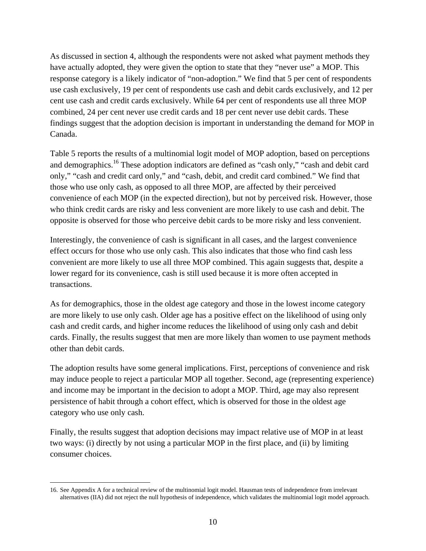As discussed in section 4, although the respondents were not asked what payment methods they have actually adopted, they were given the option to state that they "never use" a MOP. This response category is a likely indicator of "non-adoption." We find that 5 per cent of respondents use cash exclusively, 19 per cent of respondents use cash and debit cards exclusively, and 12 per cent use cash and credit cards exclusively. While 64 per cent of respondents use all three MOP combined, 24 per cent never use credit cards and 18 per cent never use debit cards. These findings suggest that the adoption decision is important in understanding the demand for MOP in Canada.

Table 5 reports the results of a multinomial logit model of MOP adoption, based on perceptions and demographics.<sup>16</sup> These adoption indicators are defined as "cash only," "cash and debit card only," "cash and credit card only," and "cash, debit, and credit card combined." We find that those who use only cash, as opposed to all three MOP, are affected by their perceived convenience of each MOP (in the expected direction), but not by perceived risk. However, those who think credit cards are risky and less convenient are more likely to use cash and debit. The opposite is observed for those who perceive debit cards to be more risky and less convenient.

Interestingly, the convenience of cash is significant in all cases, and the largest convenience effect occurs for those who use only cash. This also indicates that those who find cash less convenient are more likely to use all three MOP combined. This again suggests that, despite a lower regard for its convenience, cash is still used because it is more often accepted in transactions.

As for demographics, those in the oldest age category and those in the lowest income category are more likely to use only cash. Older age has a positive effect on the likelihood of using only cash and credit cards, and higher income reduces the likelihood of using only cash and debit cards. Finally, the results suggest that men are more likely than women to use payment methods other than debit cards.

The adoption results have some general implications. First, perceptions of convenience and risk may induce people to reject a particular MOP all together. Second, age (representing experience) and income may be important in the decision to adopt a MOP. Third, age may also represent persistence of habit through a cohort effect, which is observed for those in the oldest age category who use only cash.

Finally, the results suggest that adoption decisions may impact relative use of MOP in at least two ways: (i) directly by not using a particular MOP in the first place, and (ii) by limiting consumer choices.

 $\overline{a}$ 

<sup>16.</sup> See Appendix A for a technical review of the multinomial logit model. Hausman tests of independence from irrelevant alternatives (IIA) did not reject the null hypothesis of independence, which validates the multinomial logit model approach.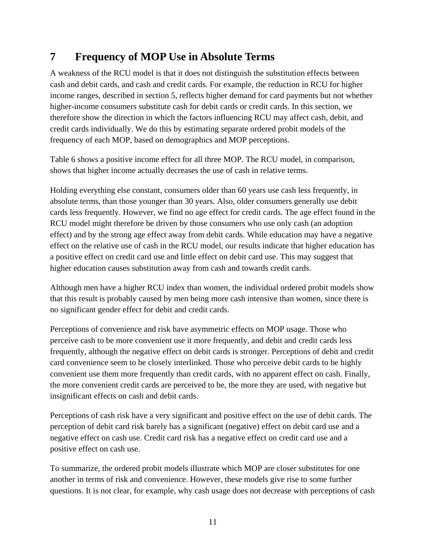# **7 Frequency of MOP Use in Absolute Terms**

A weakness of the RCU model is that it does not distinguish the substitution effects between cash and debit cards, and cash and credit cards. For example, the reduction in RCU for higher income ranges, described in section 5, reflects higher demand for card payments but not whether higher-income consumers substitute cash for debit cards or credit cards. In this section, we therefore show the direction in which the factors influencing RCU may affect cash, debit, and credit cards individually. We do this by estimating separate ordered probit models of the frequency of each MOP, based on demographics and MOP perceptions.

Table 6 shows a positive income effect for all three MOP. The RCU model, in comparison, shows that higher income actually decreases the use of cash in relative terms.

Holding everything else constant, consumers older than 60 years use cash less frequently, in absolute terms, than those younger than 30 years. Also, older consumers generally use debit cards less frequently. However, we find no age effect for credit cards. The age effect found in the RCU model might therefore be driven by those consumers who use only cash (an adoption effect) and by the strong age effect away from debit cards. While education may have a negative effect on the relative use of cash in the RCU model, our results indicate that higher education has a positive effect on credit card use and little effect on debit card use. This may suggest that higher education causes substitution away from cash and towards credit cards.

Although men have a higher RCU index than women, the individual ordered probit models show that this result is probably caused by men being more cash intensive than women, since there is no significant gender effect for debit and credit cards.

Perceptions of convenience and risk have asymmetric effects on MOP usage. Those who perceive cash to be more convenient use it more frequently, and debit and credit cards less frequently, although the negative effect on debit cards is stronger. Perceptions of debit and credit card convenience seem to be closely interlinked. Those who perceive debit cards to be highly convenient use them more frequently than credit cards, with no apparent effect on cash. Finally, the more convenient credit cards are perceived to be, the more they are used, with negative but insignificant effects on cash and debit cards.

Perceptions of cash risk have a very significant and positive effect on the use of debit cards. The perception of debit card risk barely has a significant (negative) effect on debit card use and a negative effect on cash use. Credit card risk has a negative effect on credit card use and a positive effect on cash use.

To summarize, the ordered probit models illustrate which MOP are closer substitutes for one another in terms of risk and convenience. However, these models give rise to some further questions. It is not clear, for example, why cash usage does not decrease with perceptions of cash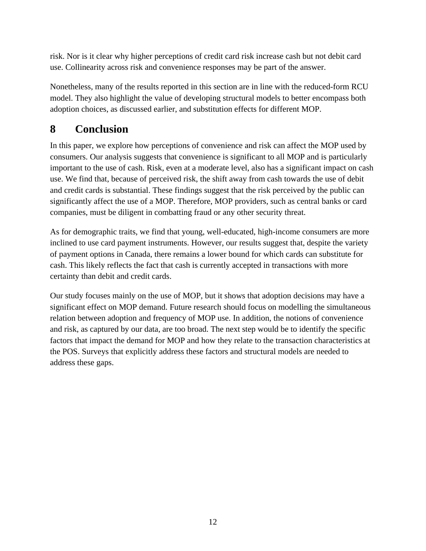risk. Nor is it clear why higher perceptions of credit card risk increase cash but not debit card use. Collinearity across risk and convenience responses may be part of the answer.

Nonetheless, many of the results reported in this section are in line with the reduced-form RCU model. They also highlight the value of developing structural models to better encompass both adoption choices, as discussed earlier, and substitution effects for different MOP.

# **8 Conclusion**

In this paper, we explore how perceptions of convenience and risk can affect the MOP used by consumers. Our analysis suggests that convenience is significant to all MOP and is particularly important to the use of cash. Risk, even at a moderate level, also has a significant impact on cash use. We find that, because of perceived risk, the shift away from cash towards the use of debit and credit cards is substantial. These findings suggest that the risk perceived by the public can significantly affect the use of a MOP. Therefore, MOP providers, such as central banks or card companies, must be diligent in combatting fraud or any other security threat.

As for demographic traits, we find that young, well-educated, high-income consumers are more inclined to use card payment instruments. However, our results suggest that, despite the variety of payment options in Canada, there remains a lower bound for which cards can substitute for cash. This likely reflects the fact that cash is currently accepted in transactions with more certainty than debit and credit cards.

Our study focuses mainly on the use of MOP, but it shows that adoption decisions may have a significant effect on MOP demand. Future research should focus on modelling the simultaneous relation between adoption and frequency of MOP use. In addition, the notions of convenience and risk, as captured by our data, are too broad. The next step would be to identify the specific factors that impact the demand for MOP and how they relate to the transaction characteristics at the POS. Surveys that explicitly address these factors and structural models are needed to address these gaps.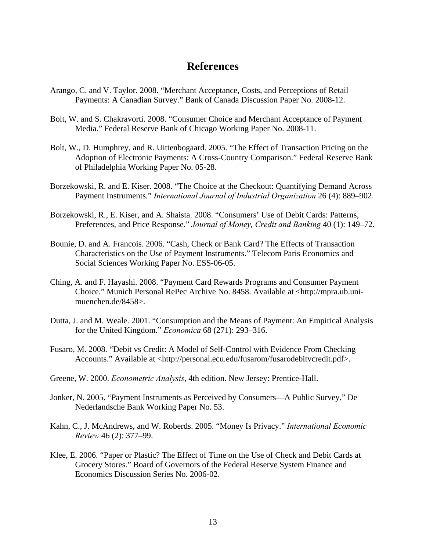# **References**

- Arango, C. and V. Taylor. 2008. "Merchant Acceptance, Costs, and Perceptions of Retail Payments: A Canadian Survey." Bank of Canada Discussion Paper No. 2008-12.
- Bolt, W. and S. Chakravorti. 2008. "Consumer Choice and Merchant Acceptance of Payment Media." Federal Reserve Bank of Chicago Working Paper No. 2008-11.
- Bolt, W., D. Humphrey, and R. Uittenbogaard. 2005. "The Effect of Transaction Pricing on the Adoption of Electronic Payments: A Cross-Country Comparison." Federal Reserve Bank of Philadelphia Working Paper No. 05-28.
- Borzekowski, R. and E. Kiser. 2008. "The Choice at the Checkout: Quantifying Demand Across Payment Instruments." *International Journal of Industrial Organization* 26 (4): 889–902.
- Borzekowski, R., E. Kiser, and A. Shaista. 2008. "Consumers' Use of Debit Cards: Patterns, Preferences, and Price Response." *Journal of Money, Credit and Banking* 40 (1): 149–72.
- Bounie, D. and A. Francois. 2006. "Cash, Check or Bank Card? The Effects of Transaction Characteristics on the Use of Payment Instruments." Telecom Paris Economics and Social Sciences Working Paper No. ESS-06-05.
- Ching, A. and F. Hayashi. 2008. "Payment Card Rewards Programs and Consumer Payment Choice." Munich Personal RePec Archive No. 8458. Available at <http://mpra.ub.unimuenchen.de/8458>.
- Dutta, J. and M. Weale. 2001. "Consumption and the Means of Payment: An Empirical Analysis for the United Kingdom." *Economica* 68 (271): 293–316.
- Fusaro, M. 2008. "Debit vs Credit: A Model of Self-Control with Evidence From Checking Accounts." Available at <http://personal.ecu.edu/fusarom/fusarodebitvcredit.pdf>.
- Greene, W. 2000. *Econometric Analysis*, 4th edition. New Jersey: Prentice-Hall.
- Jonker, N. 2005. "Payment Instruments as Perceived by Consumers—A Public Survey." De Nederlandsche Bank Working Paper No. 53.
- Kahn, C., J. McAndrews, and W. Roberds. 2005. "Money Is Privacy." *International Economic Review* 46 (2): 377–99.
- Klee, E. 2006. "Paper or Plastic? The Effect of Time on the Use of Check and Debit Cards at Grocery Stores." Board of Governors of the Federal Reserve System Finance and Economics Discussion Series No. 2006-02.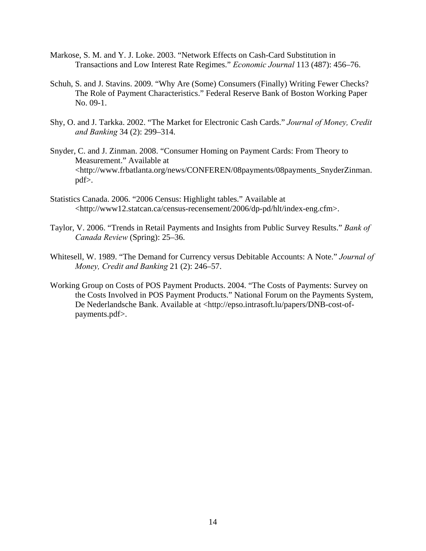- Markose, S. M. and Y. J. Loke. 2003. "Network Effects on Cash-Card Substitution in Transactions and Low Interest Rate Regimes." *Economic Journal* 113 (487): 456–76.
- Schuh, S. and J. Stavins. 2009. "Why Are (Some) Consumers (Finally) Writing Fewer Checks? The Role of Payment Characteristics." Federal Reserve Bank of Boston Working Paper No. 09-1.
- Shy, O. and J. Tarkka. 2002. "The Market for Electronic Cash Cards." *Journal of Money, Credit and Banking* 34 (2): 299–314.
- Snyder, C. and J. Zinman. 2008. "Consumer Homing on Payment Cards: From Theory to Measurement." Available at <http://www.frbatlanta.org/news/CONFEREN/08payments/08payments\_SnyderZinman. pdf>.
- Statistics Canada. 2006. "2006 Census: Highlight tables." Available at <http://www12.statcan.ca/census-recensement/2006/dp-pd/hlt/index-eng.cfm>.
- Taylor, V. 2006. "Trends in Retail Payments and Insights from Public Survey Results." *Bank of Canada Review* (Spring): 25–36.
- Whitesell, W. 1989. "The Demand for Currency versus Debitable Accounts: A Note." *Journal of Money, Credit and Banking* 21 (2): 246–57.
- Working Group on Costs of POS Payment Products. 2004. "The Costs of Payments: Survey on the Costs Involved in POS Payment Products." National Forum on the Payments System, De Nederlandsche Bank. Available at <http://epso.intrasoft.lu/papers/DNB-cost-ofpayments.pdf>.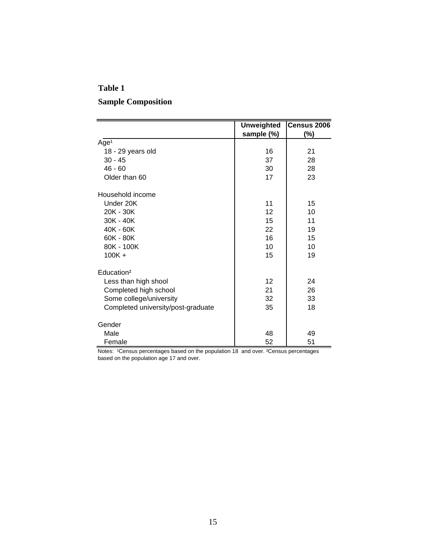# **Table 1 Sample Composition**

|                                    | <b>Unweighted</b> | Census 2006 |
|------------------------------------|-------------------|-------------|
|                                    | sample (%)        | $(\%)$      |
| Age <sup>1</sup>                   |                   |             |
| 18 - 29 years old                  | 16                | 21          |
| $30 - 45$                          | 37                | 28          |
| $46 - 60$                          | 30                | 28          |
| Older than 60                      | 17                | 23          |
| Household income                   |                   |             |
| Under 20K                          | 11                | 15          |
| $20K - 30K$                        | 12                | 10          |
| $30K - 40K$                        | 15                | 11          |
| 40K - 60K                          | 22                | 19          |
| $60K - 80K$                        | 16                | 15          |
| 80K - 100K                         | 10                | 10          |
| $100K +$                           | 15                | 19          |
| Education <sup>2</sup>             |                   |             |
| Less than high shool               | 12                | 24          |
| Completed high school              | 21                | 26          |
| Some college/university            | 32                | 33          |
| Completed university/post-graduate | 35                | 18          |
| Gender                             |                   |             |
| Male                               | 48                | 49          |
| Female                             | 52                | 51          |

Notes: <sup>1</sup>Census percentages based on the population 18 and over. <sup>2</sup>Census percentages based on the population age 17 and over.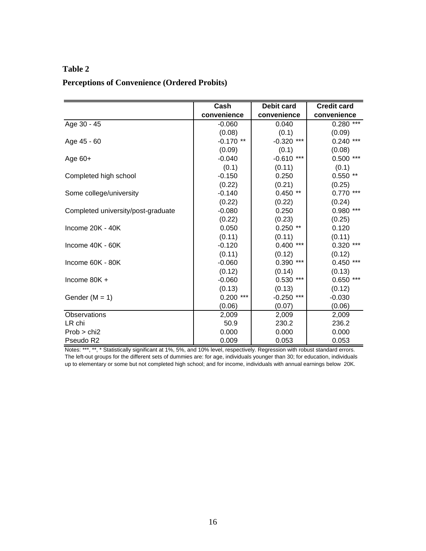# **Table 2**

| <b>Perceptions of Convenience (Ordered Probits)</b> |
|-----------------------------------------------------|
|-----------------------------------------------------|

|                                    | Cash        | <b>Debit card</b> | <b>Credit card</b> |
|------------------------------------|-------------|-------------------|--------------------|
|                                    | convenience | convenience       | convenience        |
| Age $30 - 45$                      | $-0.060$    | 0.040             | $0.280***$         |
|                                    | (0.08)      | (0.1)             | (0.09)             |
| Age 45 - 60                        | $-0.170$ ** | $***$<br>$-0.320$ | $0.240$ ***        |
|                                    | (0.09)      | (0.1)             | (0.08)             |
| Age $60+$                          | $-0.040$    | $-0.610$<br>***   | $0.500$ ***        |
|                                    | (0.1)       | (0.11)            | (0.1)              |
| Completed high school              | $-0.150$    | 0.250             | $0.550**$          |
|                                    | (0.22)      | (0.21)            | (0.25)             |
| Some college/university            | $-0.140$    | $0.450**$         | $0.770$ ***        |
|                                    | (0.22)      | (0.22)            | (0.24)             |
| Completed university/post-graduate | $-0.080$    | 0.250             | $0.980$ ***        |
|                                    | (0.22)      | (0.23)            | (0.25)             |
| Income 20K - 40K                   | 0.050       | $0.250**$         | 0.120              |
|                                    | (0.11)      | (0.11)            | (0.11)             |
| Income $40K - 60K$                 | $-0.120$    | $0.400***$        | $0.320$ ***        |
|                                    | (0.11)      | (0.12)            | (0.12)             |
| Income 60K - 80K                   | $-0.060$    | $0.390$ ***       | $0.450$ ***        |
|                                    | (0.12)      | (0.14)            | (0.13)             |
| Income $80K +$                     | $-0.060$    | 0.530<br>***      | 0.650<br>***       |
|                                    | (0.13)      | (0.13)            | (0.12)             |
| Gender $(M = 1)$                   | $0.200$ *** | $***$<br>$-0.250$ | $-0.030$           |
|                                    | (0.06)      | (0.07)            | (0.06)             |
| Observations                       | 2,009       | 2,009             | 2,009              |
| LR chi                             | 50.9        | 230.2             | 236.2              |
| Prob > chi2                        | 0.000       | 0.000             | 0.000              |
| Pseudo R2                          | 0.009       | 0.053             | 0.053              |

Notes: \*\*\*, \*\*, \* Statistically significant at 1%, 5%, and 10% level, respectively. Regression with robust standard errors. The left-out groups for the different sets of dummies are: for age, individuals younger than 30; for education, individuals up to elementary or some but not completed high school; and for income, individuals with annual earnings below 20K.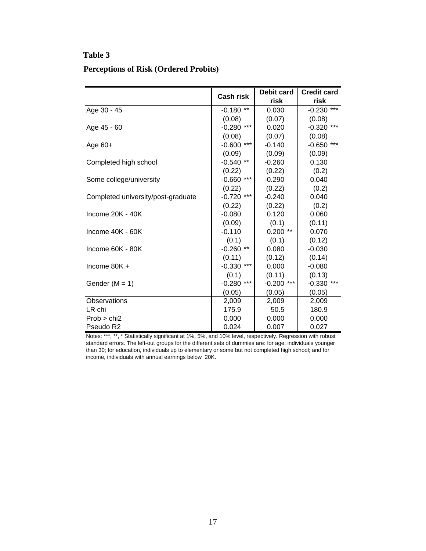## **Table 3**

#### **Perceptions of Risk (Ordered Probits)**

|                                    |              | <b>Debit card</b> |              |
|------------------------------------|--------------|-------------------|--------------|
|                                    | Cash risk    | risk              | risk         |
| Age 30 - 45                        | $-0.180$ **  | 0.030             | $-0.230***$  |
|                                    | (0.08)       | (0.07)            | (0.08)       |
| Age 45 - 60                        | $-0.280$ *** | 0.020             | $-0.320$ *** |
|                                    | (0.08)       | (0.07)            | (0.08)       |
| Age $60+$                          | $-0.600$ *** | $-0.140$          | $-0.650$ *** |
|                                    | (0.09)       | (0.09)            | (0.09)       |
| Completed high school              | $-0.540$ **  | $-0.260$          | 0.130        |
|                                    | (0.22)       | (0.22)            | (0.2)        |
| Some college/university            | $-0.660$ *** | $-0.290$          | 0.040        |
|                                    | (0.22)       | (0.22)            | (0.2)        |
| Completed university/post-graduate | $-0.720$ *** | $-0.240$          | 0.040        |
|                                    | (0.22)       | (0.22)            | (0.2)        |
| Income $20K - 40K$                 | $-0.080$     | 0.120             | 0.060        |
|                                    | (0.09)       | (0.1)             | (0.11)       |
| Income 40K - 60K                   | $-0.110$     | $0.200**$         | 0.070        |
|                                    | (0.1)        | (0.1)             | (0.12)       |
| Income 60K - 80K                   | $-0.260$ **  | 0.080             | $-0.030$     |
|                                    | (0.11)       | (0.12)            | (0.14)       |
| Income $80K +$                     | $-0.330$ *** | 0.000             | $-0.080$     |
|                                    | (0.1)        | (0.11)            | (0.13)       |
| Gender $(M = 1)$                   | $-0.280$ *** | ***<br>$-0.200$   | $-0.330$ *** |
|                                    | (0.05)       | (0.05)            | (0.05)       |
| Observations                       | 2,009        | 2,009             | 2,009        |
| LR chi                             | 175.9        | 50.5              | 180.9        |
| Prob > chi2                        | 0.000        | 0.000             | 0.000        |
| Pseudo R2                          | 0.024        | 0.007             | 0.027        |

Notes: \*\*\*, \*\*, \* Statistically significant at 1%, 5%, and 10% level, respectively. Regression with robust standard errors. The left-out groups for the different sets of dummies are: for age, individuals younger than 30; for education, individuals up to elementary or some but not completed high school; and for income, individuals with annual earnings below 20K.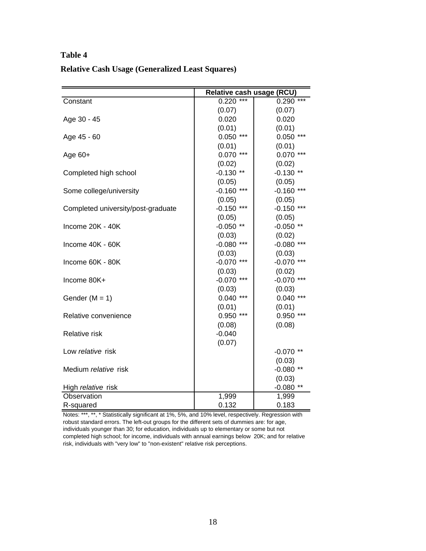# **Table 4 Relative Cash Usage (Generalized Least Squares)**

|                                    | Relative cash usage (RCU) |              |  |
|------------------------------------|---------------------------|--------------|--|
| Constant                           | $0.220***$                | $0.290***$   |  |
|                                    | (0.07)                    | (0.07)       |  |
| Age 30 - 45                        | 0.020                     | 0.020        |  |
|                                    | (0.01)                    | (0.01)       |  |
| Age 45 - 60                        | $0.050$ ***               | $0.050$ ***  |  |
|                                    | (0.01)                    | (0.01)       |  |
| Age $60+$                          | $0.070$ ***               | $0.070$ ***  |  |
|                                    | (0.02)                    | (0.02)       |  |
| Completed high school              | $-0.130**$                | $-0.130**$   |  |
|                                    | (0.05)                    | (0.05)       |  |
| Some college/university            | $-0.160$ ***              | $-0.160$ *** |  |
|                                    | (0.05)                    | (0.05)       |  |
| Completed university/post-graduate | $-0.150$ ***              | $-0.150$ *** |  |
|                                    | (0.05)                    | (0.05)       |  |
| Income 20K - 40K                   | $-0.050**$                | $-0.050**$   |  |
|                                    | (0.03)                    | (0.02)       |  |
| Income 40K - 60K                   | $-0.080$ ***              | $-0.080$ *** |  |
|                                    | (0.03)                    | (0.03)       |  |
| Income 60K - 80K                   | $-0.070$ ***              | $-0.070$ *** |  |
|                                    | (0.03)                    | (0.02)       |  |
| Income 80K+                        | $-0.070$ ***              | $-0.070$ *** |  |
|                                    | (0.03)                    | (0.03)       |  |
| Gender $(M = 1)$                   | $0.040$ ***               | $0.040$ ***  |  |
|                                    | (0.01)                    | (0.01)       |  |
| Relative convenience               | $0.950$ ***               | $0.950$ ***  |  |
|                                    | (0.08)                    | (0.08)       |  |
| <b>Relative risk</b>               | $-0.040$                  |              |  |
|                                    | (0.07)                    |              |  |
| Low relative risk                  |                           | $-0.070$ **  |  |
|                                    |                           | (0.03)       |  |
| Medium relative risk               |                           | $-0.080**$   |  |
|                                    |                           | (0.03)       |  |
| High relative risk                 |                           | $-0.080**$   |  |
| Observation                        | 1,999                     | 1,999        |  |
| R-squared                          | 0.132                     | 0.183        |  |

Notes: \*\*\*, \*\*, \* Statistically significant at 1%, 5%, and 10% level, respectively. Regression with robust standard errors. The left-out groups for the different sets of dummies are: for age, individuals younger than 30; for education, individuals up to elementary or some but not completed high school; for income, individuals with annual earnings below 20K; and for relative risk, individuals with "very low" to "non-existent" relative risk perceptions.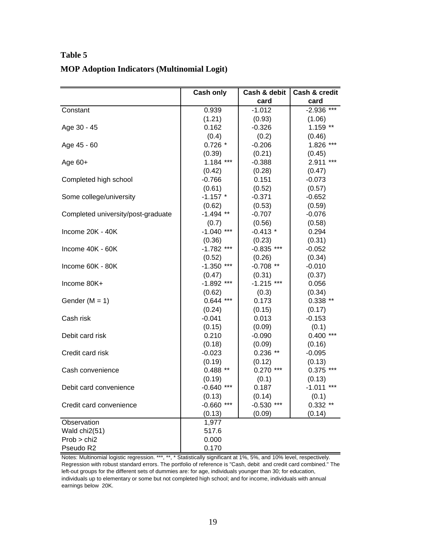|                                    | Cash only    | Cash & debit | Cash & credit |
|------------------------------------|--------------|--------------|---------------|
|                                    |              | card         | card          |
| Constant                           | 0.939        | $-1.012$     | $-2.936$ ***  |
|                                    | (1.21)       | (0.93)       | (1.06)        |
| Age 30 - 45                        | 0.162        | $-0.326$     | $1.159**$     |
|                                    | (0.4)        | (0.2)        | (0.46)        |
| Age 45 - 60                        | $0.726*$     | $-0.206$     | 1.826 ***     |
|                                    | (0.39)       | (0.21)       | (0.45)        |
| Age $60+$                          | $1.184$ ***  | $-0.388$     | 2.911 ***     |
|                                    | (0.42)       | (0.28)       | (0.47)        |
| Completed high school              | $-0.766$     | 0.151        | $-0.073$      |
|                                    | (0.61)       | (0.52)       | (0.57)        |
| Some college/university            | $-1.157$ *   | $-0.371$     | $-0.652$      |
|                                    | (0.62)       | (0.53)       | (0.59)        |
| Completed university/post-graduate | $-1.494$ **  | $-0.707$     | $-0.076$      |
|                                    | (0.7)        | (0.56)       | (0.58)        |
| Income 20K - 40K                   | $-1.040$ *** | $-0.413*$    | 0.294         |
|                                    | (0.36)       | (0.23)       | (0.31)        |
| Income 40K - 60K                   | $-1.782$ *** | $-0.835$ *** | $-0.052$      |
|                                    | (0.52)       | (0.26)       | (0.34)        |
| Income 60K - 80K                   | $-1.350$ *** | $-0.708$ **  | $-0.010$      |
|                                    | (0.47)       | (0.31)       | (0.37)        |
| Income 80K+                        | $-1.892$ *** | $-1.215$ *** | 0.056         |
|                                    | (0.62)       | (0.3)        | (0.34)        |
| Gender ( $M = 1$ )                 | $0.644$ ***  | 0.173        | $0.338$ **    |
|                                    | (0.24)       | (0.15)       | (0.17)        |
| Cash risk                          | $-0.041$     | 0.013        | $-0.153$      |
|                                    | (0.15)       | (0.09)       | (0.1)         |
| Debit card risk                    | 0.210        | $-0.090$     | $0.400$ ***   |
|                                    | (0.18)       | (0.09)       | (0.16)        |
| Credit card risk                   | $-0.023$     | $0.236$ **   | $-0.095$      |
|                                    | (0.19)       | (0.12)       | (0.13)        |
| Cash convenience                   | $0.488**$    | $0.270$ ***  | $0.375$ ***   |
|                                    | (0.19)       | (0.1)        | (0.13)        |
| Debit card convenience             | $-0.640$ *** | 0.187        | $-1.011$ ***  |
|                                    | (0.13)       | (0.14)       | (0.1)         |
| Credit card convenience            | $-0.660$ *** | $-0.530$ *** | $0.332**$     |
|                                    | (0.13)       | (0.09)       | (0.14)        |
| Observation                        | 1,977        |              |               |
| Wald chi2(51)                      | 517.6        |              |               |
| Prob > chi2                        | 0.000        |              |               |
| Pseudo R2                          | 0.170        |              |               |

# **Table 5 MOP Adoption Indicators (Multinomial Logit)**

Notes: Multinomial logistic regression. \*\*\*, \*\*, \* Statistically significant at 1%, 5%, and 10% level, respectively. Regression with robust standard errors. The portfolio of reference is "Cash, debit and credit card combined." The left-out groups for the different sets of dummies are: for age, individuals younger than 30; for education, individuals up to elementary or some but not completed high school; and for income, individuals with annual earnings below 20K.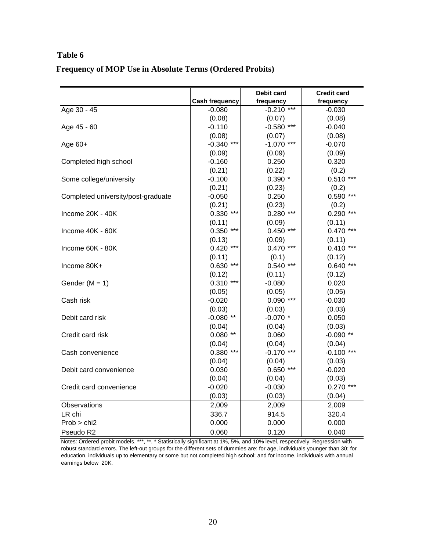# **Table 6 Frequency of MOP Use in Absolute Terms (Ordered Probits)**

|                                    |                       | Debit card   | <b>Credit card</b> |
|------------------------------------|-----------------------|--------------|--------------------|
|                                    | <b>Cash frequency</b> | frequency    | frequency          |
| Age 30 - 45                        | $-0.080$              | $-0.210$ *** | $-0.030$           |
|                                    | (0.08)                | (0.07)       | (0.08)             |
| Age 45 - 60                        | $-0.110$              | $-0.580$ *** | $-0.040$           |
|                                    | (0.08)                | (0.07)       | (0.08)             |
| Age $60+$                          | $-0.340$ ***          | $-1.070$ *** | $-0.070$           |
|                                    | (0.09)                | (0.09)       | (0.09)             |
| Completed high school              | $-0.160$              | 0.250        | 0.320              |
|                                    | (0.21)                | (0.22)       | (0.2)              |
| Some college/university            | $-0.100$              | $0.390*$     | $0.510***$         |
|                                    | (0.21)                | (0.23)       | (0.2)              |
| Completed university/post-graduate | $-0.050$              | 0.250        | $0.590$ ***        |
|                                    | (0.21)                | (0.23)       | (0.2)              |
| Income 20K - 40K                   | $0.330$ ***           | $0.280$ ***  | $0.290$ ***        |
|                                    | (0.11)                | (0.09)       | (0.11)             |
| Income 40K - 60K                   | $0.350$ ***           | $0.450$ ***  | $0.470$ ***        |
|                                    | (0.13)                | (0.09)       | (0.11)             |
| Income 60K - 80K                   | $0.420$ ***           | $0.470$ ***  | $0.410***$         |
|                                    | (0.11)                | (0.1)        | (0.12)             |
| Income 80K+                        | $0.630***$            | $0.540$ ***  | $0.640$ ***        |
|                                    | (0.12)                | (0.11)       | (0.12)             |
| Gender ( $M = 1$ )                 | $0.310***$            | $-0.080$     | 0.020              |
|                                    | (0.05)                | (0.05)       | (0.05)             |
| Cash risk                          | $-0.020$              | $0.090$ ***  | $-0.030$           |
|                                    | (0.03)                | (0.03)       | (0.03)             |
| Debit card risk                    | $-0.080**$            | $-0.070$ *   | 0.050              |
|                                    | (0.04)                | (0.04)       | (0.03)             |
| Credit card risk                   | $0.080**$             | 0.060        | $-0.090**$         |
|                                    | (0.04)                | (0.04)       | (0.04)             |
| Cash convenience                   | $0.380$ ***           | $-0.170$ *** | $-0.100$ ***       |
|                                    | (0.04)                | (0.04)       | (0.03)             |
| Debit card convenience             | 0.030                 | $0.650$ ***  | $-0.020$           |
|                                    | (0.04)                | (0.04)       | (0.03)             |
| Credit card convenience            | $-0.020$              | $-0.030$     | $0.270$ ***        |
|                                    | (0.03)                | (0.03)       | (0.04)             |
| Observations                       | 2,009                 | 2,009        | 2,009              |
| LR chi                             | 336.7                 | 914.5        | 320.4              |
| Prob > chi2                        | 0.000                 | 0.000        | 0.000              |
| Pseudo R2                          | 0.060                 | 0.120        | 0.040              |

Notes: Ordered probit models. \*\*\*, \*\*, \* Statistically significant at 1%, 5%, and 10% level, respectively. Regression with robust standard errors. The left-out groups for the different sets of dummies are: for age, individuals younger than 30; for education, individuals up to elementary or some but not completed high school; and for income, individuals with annual earnings below 20K.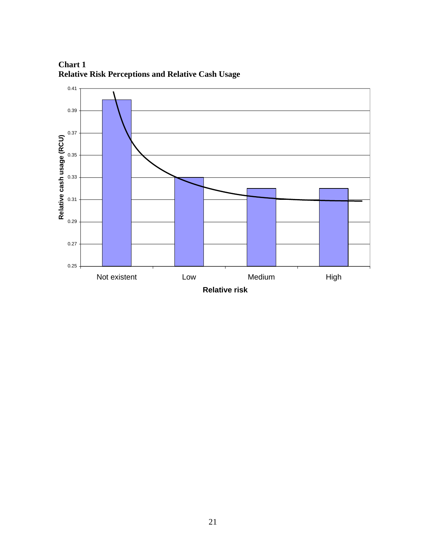

 **Chart 1 Relative Risk Perceptions and Relative Cash Usage**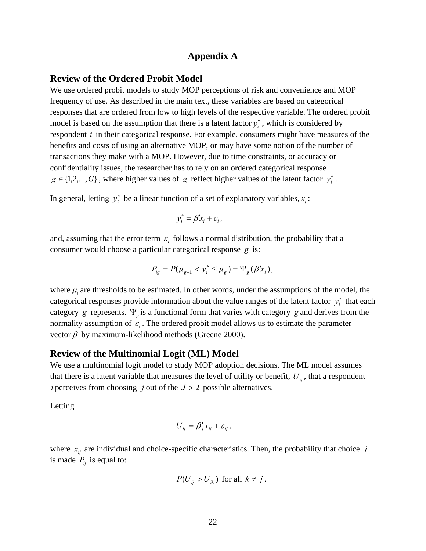#### **Appendix A**

#### **Review of the Ordered Probit Model**

We use ordered probit models to study MOP perceptions of risk and convenience and MOP frequency of use. As described in the main text, these variables are based on categorical responses that are ordered from low to high levels of the respective variable. The ordered probit model is based on the assumption that there is a latent factor  $y_i^*$ , which is considered by respondent *i* in their categorical response. For example, consumers might have measures of the benefits and costs of using an alternative MOP, or may have some notion of the number of transactions they make with a MOP. However, due to time constraints, or accuracy or confidentiality issues, the researcher has to rely on an ordered categorical response  $g \in \{1, 2, ..., G\}$ , where higher values of *g* reflect higher values of the latent factor  $y_i^*$ .

In general, letting  $y_i^*$  be a linear function of a set of explanatory variables,  $x_i$ :

$$
y_i^* = \beta' x_i + \varepsilon_i,
$$

and, assuming that the error term  $\varepsilon_i$  follows a normal distribution, the probability that a consumer would choose a particular categorical response *g* is:

$$
P_{ig} = P(\mu_{g-1} < y_i^* \le \mu_g) = \Psi_g(\beta' x_i),
$$

where  $\mu_i$  are thresholds to be estimated. In other words, under the assumptions of the model, the categorical responses provide information about the value ranges of the latent factor  $y_i^*$  that each category *g* represents. Ψ*<sup>g</sup>* is a functional form that varies with category *g* and derives from the normality assumption of  $\varepsilon_i$ . The ordered probit model allows us to estimate the parameter vector  $\beta$  by maximum-likelihood methods (Greene 2000).

#### **Review of the Multinomial Logit (ML) Model**

We use a multinomial logit model to study MOP adoption decisions. The ML model assumes that there is a latent variable that measures the level of utility or benefit,  $U_{ij}$ , that a respondent *i* perceives from choosing *j* out of the *J* > 2 possible alternatives.

Letting

$$
U_{ij} = \beta'_j x_{ij} + \varepsilon_{ij},
$$

where  $x_{ij}$  are individual and choice-specific characteristics. Then, the probability that choice *j* is made  $P_{ii}$  is equal to:

$$
P(U_{ij} > U_{ik}) \text{ for all } k \neq j.
$$